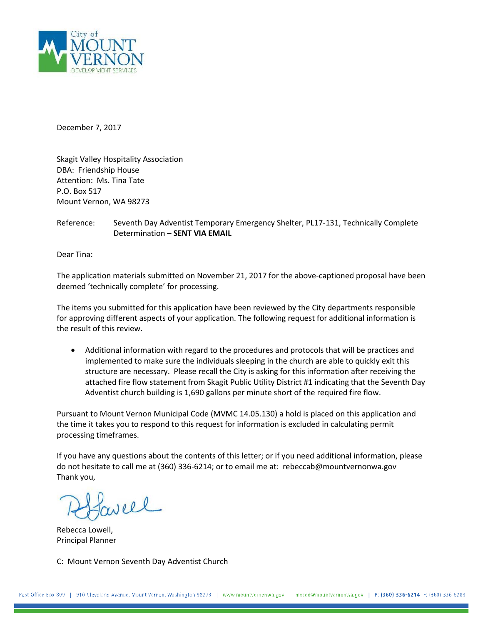

December 7, 2017

Skagit Valley Hospitality Association DBA: Friendship House Attention: Ms. Tina Tate P.O. Box 517 Mount Vernon, WA 98273

Reference: Seventh Day Adventist Temporary Emergency Shelter, PL17-131, Technically Complete Determination – **SENT VIA EMAIL**

Dear Tina:

The application materials submitted on November 21, 2017 for the above-captioned proposal have been deemed 'technically complete' for processing.

The items you submitted for this application have been reviewed by the City departments responsible for approving different aspects of your application. The following request for additional information is the result of this review.

• Additional information with regard to the procedures and protocols that will be practices and implemented to make sure the individuals sleeping in the church are able to quickly exit this structure are necessary. Please recall the City is asking for this information after receiving the attached fire flow statement from Skagit Public Utility District #1 indicating that the Seventh Day Adventist church building is 1,690 gallons per minute short of the required fire flow.

Pursuant to Mount Vernon Municipal Code (MVMC 14.05.130) a hold is placed on this application and the time it takes you to respond to this request for information is excluded in calculating permit processing timeframes.

If you have any questions about the contents of this letter; or if you need additional information, please do not hesitate to call me at (360) 336-6214; or to email me at: rebeccab@mountvernonwa.gov Thank you,

veel

Rebecca Lowell, Principal Planner

C: Mount Vernon Seventh Day Adventist Church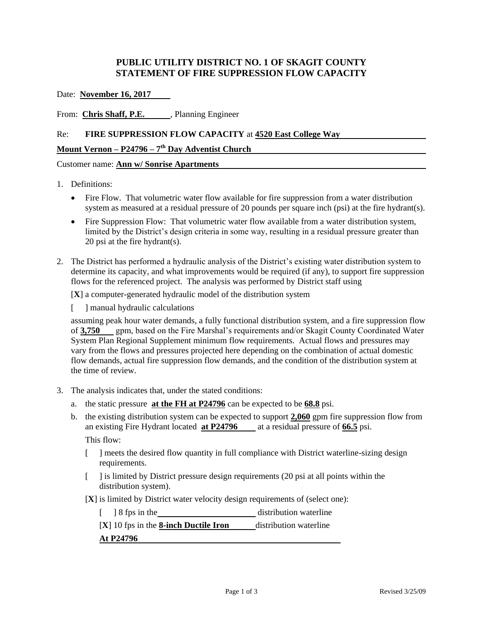# **PUBLIC UTILITY DISTRICT NO. 1 OF SKAGIT COUNTY STATEMENT OF FIRE SUPPRESSION FLOW CAPACITY**

Date: **November 16, 2017**

From: **Chris Shaff, P.E.** Planning Engineer

### Re: **FIRE SUPPRESSION FLOW CAPACITY** at **4520 East College Way**

## **Mount Vernon – P24796 – 7 th Day Adventist Church**

Customer name: **Ann w/ Sonrise Apartments**

#### 1. Definitions:

- Fire Flow. That volumetric water flow available for fire suppression from a water distribution system as measured at a residual pressure of 20 pounds per square inch (psi) at the fire hydrant(s).
- Fire Suppression Flow: That volumetric water flow available from a water distribution system, limited by the District's design criteria in some way, resulting in a residual pressure greater than 20 psi at the fire hydrant(s).
- 2. The District has performed a hydraulic analysis of the District's existing water distribution system to determine its capacity, and what improvements would be required (if any), to support fire suppression flows for the referenced project. The analysis was performed by District staff using

[**X**] a computer-generated hydraulic model of the distribution system

[ ] manual hydraulic calculations

assuming peak hour water demands, a fully functional distribution system, and a fire suppression flow of **3,750** gpm, based on the Fire Marshal's requirements and/or Skagit County Coordinated Water System Plan Regional Supplement minimum flow requirements. Actual flows and pressures may vary from the flows and pressures projected here depending on the combination of actual domestic flow demands, actual fire suppression flow demands, and the condition of the distribution system at the time of review.

- 3. The analysis indicates that, under the stated conditions:
	- a. the static pressure **at the FH at P24796** can be expected to be **68.8** psi.
	- b. the existing distribution system can be expected to support **2,060** gpm fire suppression flow from an existing Fire Hydrant located **at P24796** at a residual pressure of **66.5** psi. This flow:
		- [ ] meets the desired flow quantity in full compliance with District waterline-sizing design requirements.
		- [ ] is limited by District pressure design requirements (20 psi at all points within the distribution system).
		- [**X**] is limited by District water velocity design requirements of (select one):
			- [ ] 8 fps in the distribution waterline
			- [**X**] 10 fps in the **8-inch Ductile Iron** distribution waterline

### **At P24796**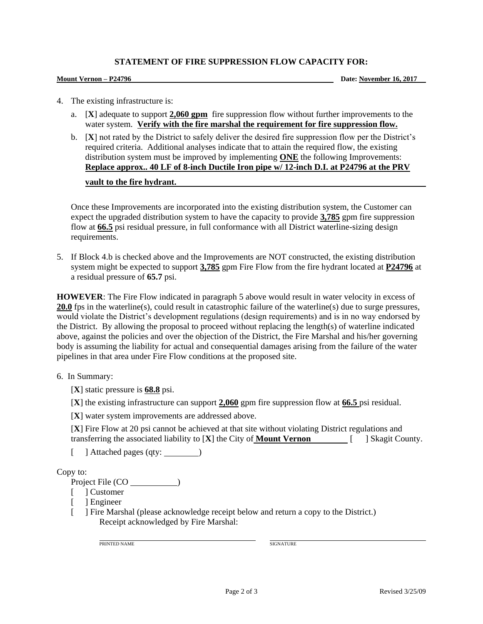### **STATEMENT OF FIRE SUPPRESSION FLOW CAPACITY FOR:**

**Mount Vernon – P24796 Date: November 16, 2017**

- 4. The existing infrastructure is:
	- a. [**X**] adequate to support **2,060 gpm** fire suppression flow without further improvements to the water system. **Verify with the fire marshal the requirement for fire suppression flow.**
	- b. [**X**] not rated by the District to safely deliver the desired fire suppression flow per the District's required criteria. Additional analyses indicate that to attain the required flow, the existing distribution system must be improved by implementing **ONE** the following Improvements: **Replace approx.. 40 LF of 8-inch Ductile Iron pipe w/ 12-inch D.I. at P24796 at the PRV vault to the fire hydrant.**

Once these Improvements are incorporated into the existing distribution system, the Customer can expect the upgraded distribution system to have the capacity to provide **3,785** gpm fire suppression flow at **66.5** psi residual pressure, in full conformance with all District waterline-sizing design requirements.

5. If Block 4.b is checked above and the Improvements are NOT constructed, the existing distribution system might be expected to support **3,785** gpm Fire Flow from the fire hydrant located at **P24796** at a residual pressure of **65.7** psi.

**HOWEVER**: The Fire Flow indicated in paragraph 5 above would result in water velocity in excess of **20.0** fps in the waterline(s), could result in catastrophic failure of the waterline(s) due to surge pressures, would violate the District's development regulations (design requirements) and is in no way endorsed by the District. By allowing the proposal to proceed without replacing the length(s) of waterline indicated above, against the policies and over the objection of the District, the Fire Marshal and his/her governing body is assuming the liability for actual and consequential damages arising from the failure of the water pipelines in that area under Fire Flow conditions at the proposed site.

### 6. In Summary:

- [**X**] static pressure is **68.8** psi.
- [**X**] the existing infrastructure can support **2,060** gpm fire suppression flow at **66.5** psi residual.
- [**X**] water system improvements are addressed above.

[**X**] Fire Flow at 20 psi cannot be achieved at that site without violating District regulations and transferring the associated liability to [**X**] the City of **Mount Vernon** [ ] Skagit County.

[ ] Attached pages (qty: )

Copy to:

Project File (CO )

- [ ] Customer
- [ ] Engineer
- [ ] Fire Marshal (please acknowledge receipt below and return a copy to the District.) Receipt acknowledged by Fire Marshal:

PRINTED NAME SIGNATURE